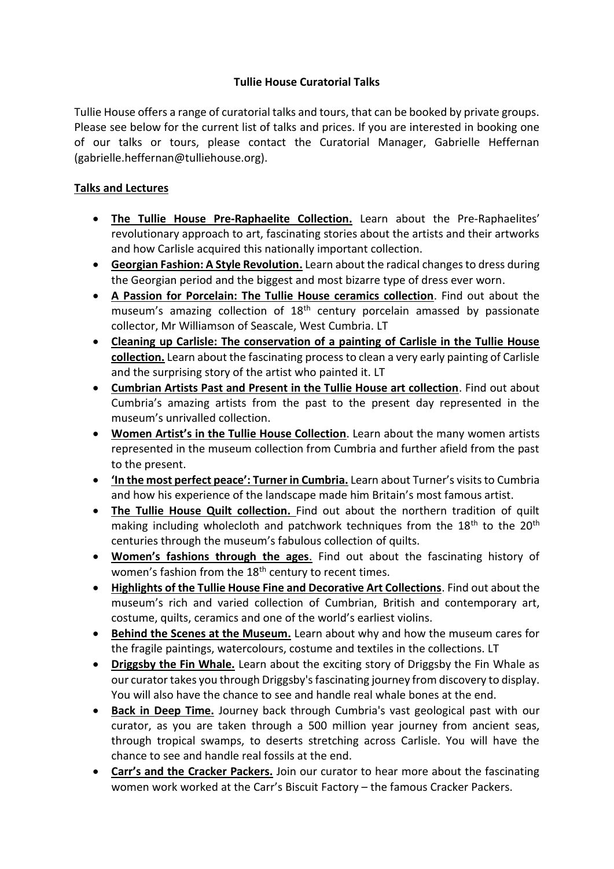# **Tullie House Curatorial Talks**

Tullie House offers a range of curatorial talks and tours, that can be booked by private groups. Please see below for the current list of talks and prices. If you are interested in booking one of our talks or tours, please contact the Curatorial Manager, Gabrielle Heffernan (gabrielle.heffernan@tulliehouse.org).

## **Talks and Lectures**

- **The Tullie House Pre-Raphaelite Collection.** Learn about the Pre-Raphaelites' revolutionary approach to art, fascinating stories about the artists and their artworks and how Carlisle acquired this nationally important collection.
- **Georgian Fashion: A Style Revolution.** Learn about the radical changes to dress during the Georgian period and the biggest and most bizarre type of dress ever worn.
- **A Passion for Porcelain: The Tullie House ceramics collection**. Find out about the museum's amazing collection of 18<sup>th</sup> century porcelain amassed by passionate collector, Mr Williamson of Seascale, West Cumbria. LT
- **Cleaning up Carlisle: The conservation of a painting of Carlisle in the Tullie House collection.** Learn about the fascinating process to clean a very early painting of Carlisle and the surprising story of the artist who painted it. LT
- **Cumbrian Artists Past and Present in the Tullie House art collection**. Find out about Cumbria's amazing artists from the past to the present day represented in the museum's unrivalled collection.
- **Women Artist's in the Tullie House Collection**. Learn about the many women artists represented in the museum collection from Cumbria and further afield from the past to the present.
- **'In the most perfect peace': Turner in Cumbria.** Learn about Turner's visits to Cumbria and how his experience of the landscape made him Britain's most famous artist.
- **The Tullie House Quilt collection.** Find out about the northern tradition of quilt making including wholecloth and patchwork techniques from the  $18<sup>th</sup>$  to the  $20<sup>th</sup>$ centuries through the museum's fabulous collection of quilts.
- **Women's fashions through the ages**. Find out about the fascinating history of women's fashion from the 18<sup>th</sup> century to recent times.
- **Highlights of the Tullie House Fine and Decorative Art Collections**. Find out about the museum's rich and varied collection of Cumbrian, British and contemporary art, costume, quilts, ceramics and one of the world's earliest violins.
- **Behind the Scenes at the Museum.** Learn about why and how the museum cares for the fragile paintings, watercolours, costume and textiles in the collections. LT
- **Driggsby the Fin Whale.** Learn about the exciting story of Driggsby the Fin Whale as our curator takes you through Driggsby'sfascinating journey from discovery to display. You will also have the chance to see and handle real whale bones at the end.
- **Back in Deep Time.** Journey back through Cumbria's vast geological past with our curator, as you are taken through a 500 million year journey from ancient seas, through tropical swamps, to deserts stretching across Carlisle. You will have the chance to see and handle real fossils at the end.
- **Carr's and the Cracker Packers.** Join our curator to hear more about the fascinating women work worked at the Carr's Biscuit Factory – the famous Cracker Packers.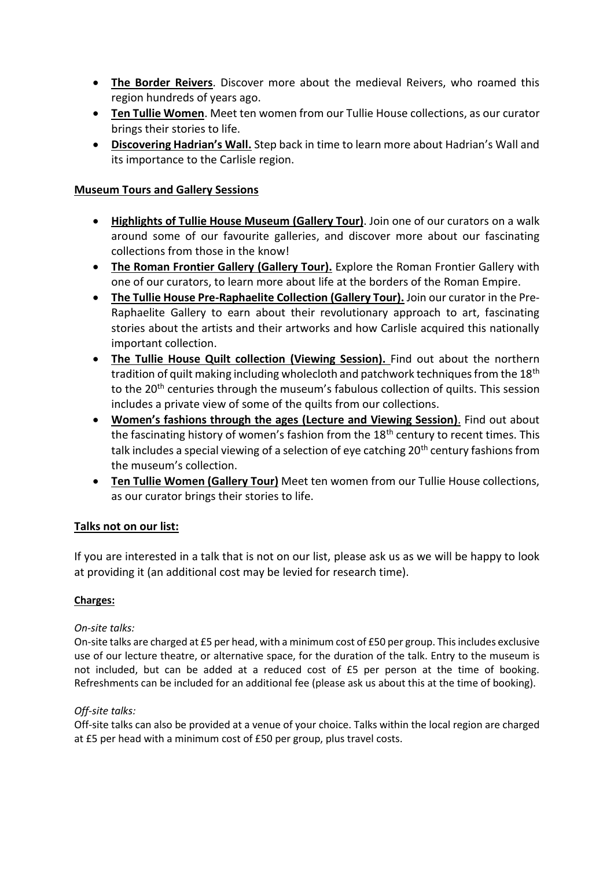- **The Border Reivers**. Discover more about the medieval Reivers, who roamed this region hundreds of years ago.
- **Ten Tullie Women**. Meet ten women from our Tullie House collections, as our curator brings their stories to life.
- **Discovering Hadrian's Wall.** Step back in time to learn more about Hadrian's Wall and its importance to the Carlisle region.

### **Museum Tours and Gallery Sessions**

- **Highlights of Tullie House Museum (Gallery Tour)**. Join one of our curators on a walk around some of our favourite galleries, and discover more about our fascinating collections from those in the know!
- **The Roman Frontier Gallery (Gallery Tour).** Explore the Roman Frontier Gallery with one of our curators, to learn more about life at the borders of the Roman Empire.
- **The Tullie House Pre-Raphaelite Collection (Gallery Tour).** Join our curator in the Pre-Raphaelite Gallery to earn about their revolutionary approach to art, fascinating stories about the artists and their artworks and how Carlisle acquired this nationally important collection.
- **The Tullie House Quilt collection (Viewing Session).** Find out about the northern tradition of quilt making including wholecloth and patchwork techniques from the 18<sup>th</sup> to the 20<sup>th</sup> centuries through the museum's fabulous collection of quilts. This session includes a private view of some of the quilts from our collections.
- **Women's fashions through the ages (Lecture and Viewing Session)**. Find out about the fascinating history of women's fashion from the 18<sup>th</sup> century to recent times. This talk includes a special viewing of a selection of eye catching 20<sup>th</sup> century fashions from the museum's collection.
- **Ten Tullie Women (Gallery Tour)** Meet ten women from our Tullie House collections, as our curator brings their stories to life.

### **Talks not on our list:**

If you are interested in a talk that is not on our list, please ask us as we will be happy to look at providing it (an additional cost may be levied for research time).

### **Charges:**

### *On-site talks:*

On-site talks are charged at £5 per head, with a minimum cost of £50 per group. This includes exclusive use of our lecture theatre, or alternative space, for the duration of the talk. Entry to the museum is not included, but can be added at a reduced cost of £5 per person at the time of booking. Refreshments can be included for an additional fee (please ask us about this at the time of booking).

### *Off-site talks:*

Off-site talks can also be provided at a venue of your choice. Talks within the local region are charged at £5 per head with a minimum cost of £50 per group, plus travel costs.